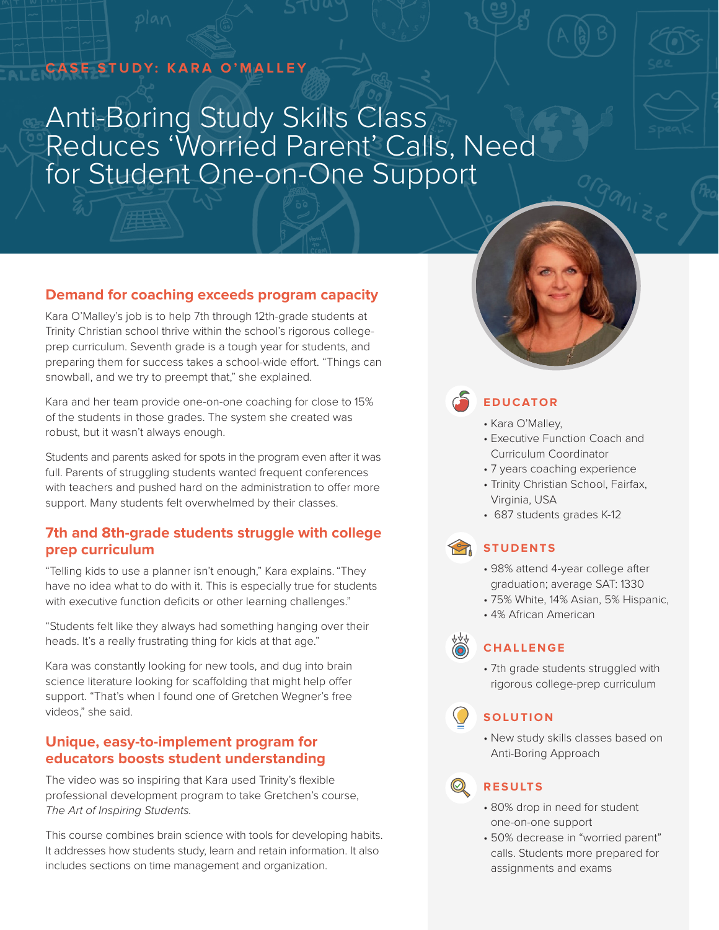## **CASE STUDY: KARA O'MALLEY**

# Anti-Boring Study Skills Class Reduces 'Worried Parent' Calls, Need for Student One-on-One Support



## **Demand for coaching exceeds program capacity**

Kara O'Malley's job is to help 7th through 12th-grade students at Trinity Christian school thrive within the school's rigorous collegeprep curriculum. Seventh grade is a tough year for students, and preparing them for success takes a school-wide effort. "Things can snowball, and we try to preempt that," she explained.

Kara and her team provide one-on-one coaching for close to 15% of the students in those grades. The system she created was robust, but it wasn't always enough.

Students and parents asked for spots in the program even after it was full. Parents of struggling students wanted frequent conferences with teachers and pushed hard on the administration to offer more support. Many students felt overwhelmed by their classes.

### **7th and 8th-grade students struggle with college prep curriculum**

"Telling kids to use a planner isn't enough," Kara explains. "They have no idea what to do with it. This is especially true for students with executive function deficits or other learning challenges."

"Students felt like they always had something hanging over their heads. It's a really frustrating thing for kids at that age."

Kara was constantly looking for new tools, and dug into brain science literature looking for scaffolding that might help offer support. "That's when I found one of Gretchen Wegner's free videos," she said.

### **Unique, easy-to-implement program for educators boosts student understanding**

The video was so inspiring that Kara used Trinity's flexible professional development program to take Gretchen's course, *The Art of Inspiring Students.*

This course combines brain science with tools for developing habits. It addresses how students study, learn and retain information. It also includes sections on time management and organization.



## **EDUCATOR**

- Kara O'Malley,
- Executive Function Coach and Curriculum Coordinator
- 7 years coaching experience
- Trinity Christian School, Fairfax, Virginia, USA
- 687 students grades K-12

## **STUDENTS**

- 98% attend 4-year college after graduation; average SAT: 1330
- 75% White, 14% Asian, 5% Hispanic,
- 4% African American



• 7th grade students struggled with rigorous college-prep curriculum

## **SOLUTION**

• New study skills classes based on Anti-Boring Approach

## **RESULTS**

- 80% drop in need for student one-on-one support
- 50% decrease in "worried parent" calls. Students more prepared for assignments and exams